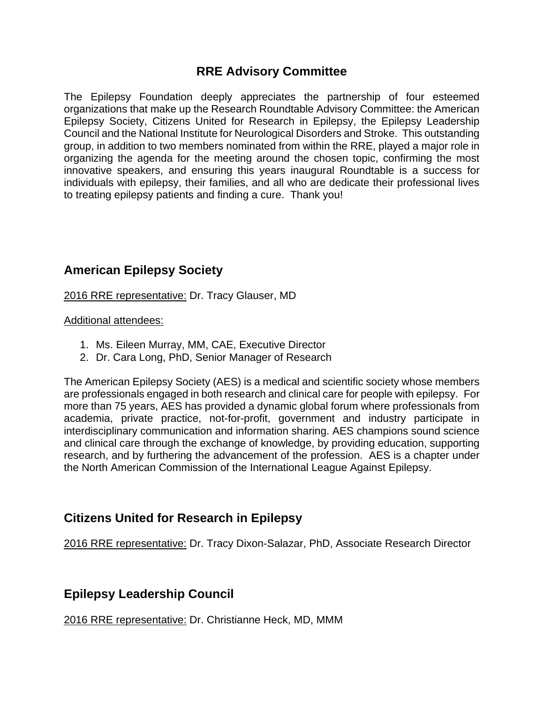## **RRE Advisory Committee**

The Epilepsy Foundation deeply appreciates the partnership of four esteemed organizations that make up the Research Roundtable Advisory Committee: the American Epilepsy Society, Citizens United for Research in Epilepsy, the Epilepsy Leadership Council and the National Institute for Neurological Disorders and Stroke. This outstanding group, in addition to two members nominated from within the RRE, played a major role in organizing the agenda for the meeting around the chosen topic, confirming the most innovative speakers, and ensuring this years inaugural Roundtable is a success for individuals with epilepsy, their families, and all who are dedicate their professional lives to treating epilepsy patients and finding a cure. Thank you!

# **American Epilepsy Society**

2016 RRE representative: Dr. Tracy Glauser, MD

### Additional attendees:

- 1. Ms. Eileen Murray, MM, CAE, Executive Director
- 2. Dr. Cara Long, PhD, Senior Manager of Research

The American Epilepsy Society (AES) is a medical and scientific society whose members are professionals engaged in both research and clinical care for people with epilepsy. For more than 75 years, AES has provided a dynamic global forum where professionals from academia, private practice, not-for-profit, government and industry participate in interdisciplinary communication and information sharing. AES champions sound science and clinical care through the exchange of knowledge, by providing education, supporting research, and by furthering the advancement of the profession. AES is a chapter under the North American Commission of the International League Against Epilepsy.

## **Citizens United for Research in Epilepsy**

2016 RRE representative: Dr. Tracy Dixon-Salazar, PhD, Associate Research Director

## **Epilepsy Leadership Council**

2016 RRE representative: Dr. Christianne Heck, MD, MMM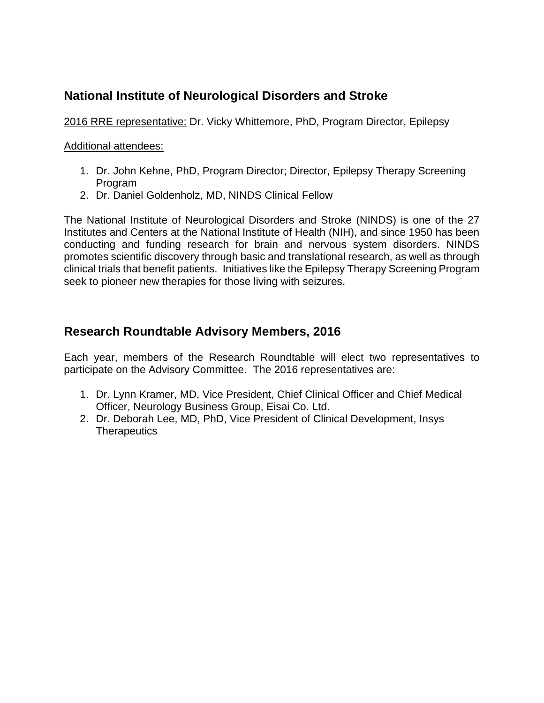## **National Institute of Neurological Disorders and Stroke**

2016 RRE representative: Dr. Vicky Whittemore, PhD, Program Director, Epilepsy

### Additional attendees:

- 1. Dr. John Kehne, PhD, Program Director; Director, Epilepsy Therapy Screening Program
- 2. Dr. Daniel Goldenholz, MD, NINDS Clinical Fellow

The National Institute of Neurological Disorders and Stroke (NINDS) is one of the 27 Institutes and Centers at the National Institute of Health (NIH), and since 1950 has been conducting and funding research for brain and nervous system disorders. NINDS promotes scientific discovery through basic and translational research, as well as through clinical trials that benefit patients. Initiatives like the Epilepsy Therapy Screening Program seek to pioneer new therapies for those living with seizures.

## **Research Roundtable Advisory Members, 2016**

Each year, members of the Research Roundtable will elect two representatives to participate on the Advisory Committee. The 2016 representatives are:

- 1. Dr. Lynn Kramer, MD, Vice President, Chief Clinical Officer and Chief Medical Officer, Neurology Business Group, Eisai Co. Ltd.
- 2. Dr. Deborah Lee, MD, PhD, Vice President of Clinical Development, Insys **Therapeutics**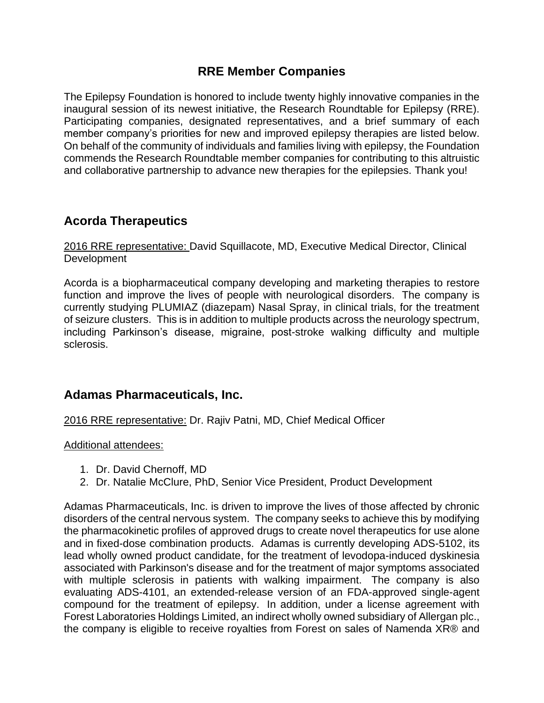## **RRE Member Companies**

The Epilepsy Foundation is honored to include twenty highly innovative companies in the inaugural session of its newest initiative, the Research Roundtable for Epilepsy (RRE). Participating companies, designated representatives, and a brief summary of each member company's priorities for new and improved epilepsy therapies are listed below. On behalf of the community of individuals and families living with epilepsy, the Foundation commends the Research Roundtable member companies for contributing to this altruistic and collaborative partnership to advance new therapies for the epilepsies. Thank you!

## **Acorda Therapeutics**

2016 RRE representative: David Squillacote, MD, Executive Medical Director, Clinical **Development** 

Acorda is a biopharmaceutical company developing and marketing therapies to restore function and improve the lives of people with neurological disorders. The company is currently studying PLUMIAZ (diazepam) Nasal Spray, in clinical trials, for the treatment of seizure clusters. This is in addition to multiple products across the neurology spectrum, including Parkinson's disease, migraine, post-stroke walking difficulty and multiple sclerosis.

## **Adamas Pharmaceuticals, Inc.**

2016 RRE representative: Dr. Rajiv Patni, MD, Chief Medical Officer

Additional attendees:

- 1. Dr. David Chernoff, MD
- 2. Dr. Natalie McClure, PhD, Senior Vice President, Product Development

Adamas Pharmaceuticals, Inc. is driven to improve the lives of those affected by chronic disorders of the central nervous system. The company seeks to achieve this by modifying the pharmacokinetic profiles of approved drugs to create novel therapeutics for use alone and in fixed-dose combination products. Adamas is currently developing ADS-5102, its lead wholly owned product candidate, for the treatment of levodopa-induced dyskinesia associated with Parkinson's disease and for the treatment of major symptoms associated with multiple sclerosis in patients with walking impairment. The company is also evaluating ADS-4101, an extended-release version of an FDA-approved single-agent compound for the treatment of epilepsy. In addition, under a license agreement with Forest Laboratories Holdings Limited, an indirect wholly owned subsidiary of Allergan plc., the company is eligible to receive royalties from Forest on sales of Namenda XR® and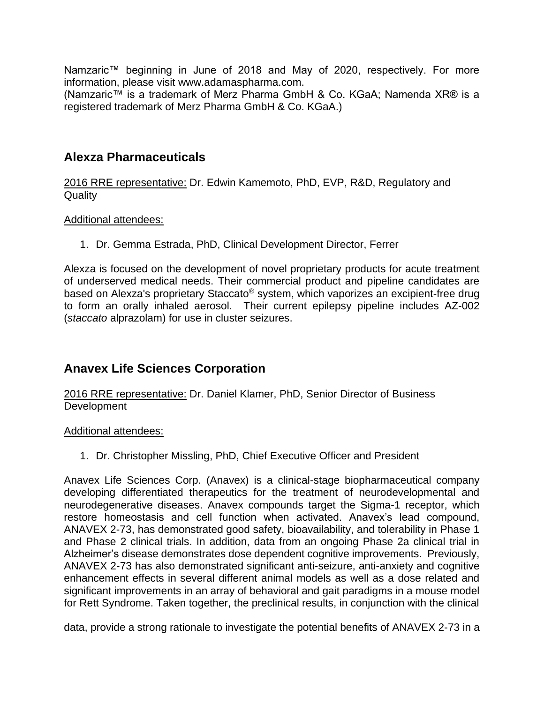Namzaric<sup>™</sup> beginning in June of 2018 and May of 2020, respectively. For more information, please visit www.adamaspharma.com.

(Namzaric™ is a trademark of Merz Pharma GmbH & Co. KGaA; Namenda XR® is a registered trademark of Merz Pharma GmbH & Co. KGaA.)

## **Alexza Pharmaceuticals**

2016 RRE representative: Dr. Edwin Kamemoto, PhD, EVP, R&D, Regulatory and **Quality** 

### Additional attendees:

1. Dr. Gemma Estrada, PhD, Clinical Development Director, Ferrer

Alexza is focused on the development of novel proprietary products for acute treatment of underserved medical needs. Their commercial product and pipeline candidates are based on Alexza's proprietary Staccato® system, which vaporizes an excipient-free drug to form an orally inhaled aerosol. Their current epilepsy pipeline includes AZ-002 (*staccato* alprazolam) for use in cluster seizures.

## **Anavex Life Sciences Corporation**

2016 RRE representative: Dr. Daniel Klamer, PhD, Senior Director of Business Development

#### Additional attendees:

1. Dr. Christopher Missling, PhD, Chief Executive Officer and President

Anavex Life Sciences Corp. (Anavex) is a clinical-stage biopharmaceutical company developing differentiated therapeutics for the treatment of neurodevelopmental and neurodegenerative diseases. Anavex compounds target the Sigma-1 receptor, which restore homeostasis and cell function when activated. Anavex's lead compound, ANAVEX 2-73, has demonstrated good safety, bioavailability, and tolerability in Phase 1 and Phase 2 clinical trials. In addition, data from an ongoing Phase 2a clinical trial in Alzheimer's disease demonstrates dose dependent cognitive improvements. Previously, ANAVEX 2-73 has also demonstrated significant anti-seizure, anti-anxiety and cognitive enhancement effects in several different animal models as well as a dose related and significant improvements in an array of behavioral and gait paradigms in a mouse model for Rett Syndrome. Taken together, the preclinical results, in conjunction with the clinical

data, provide a strong rationale to investigate the potential benefits of ANAVEX 2-73 in a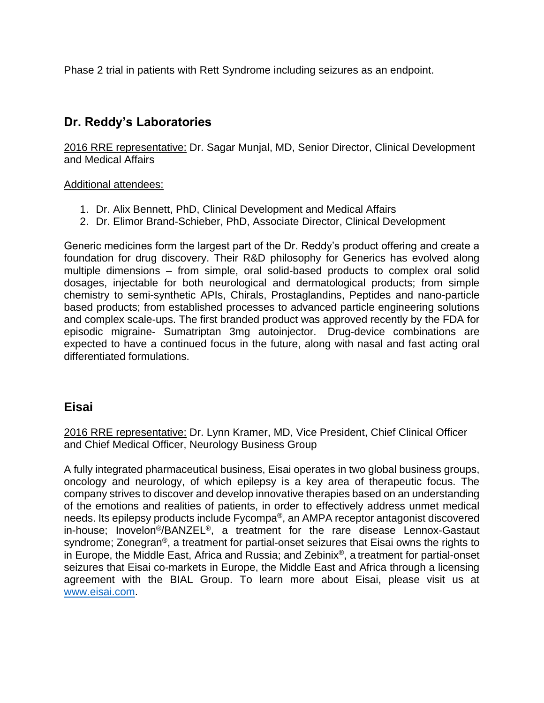Phase 2 trial in patients with Rett Syndrome including seizures as an endpoint.

# **Dr. Reddy's Laboratories**

2016 RRE representative: Dr. Sagar Munjal, MD, Senior Director, Clinical Development and Medical Affairs

Additional attendees:

- 1. Dr. Alix Bennett, PhD, Clinical Development and Medical Affairs
- 2. Dr. Elimor Brand-Schieber, PhD, Associate Director, Clinical Development

Generic medicines form the largest part of the Dr. Reddy's product offering and create a foundation for drug discovery. Their R&D philosophy for Generics has evolved along multiple dimensions – from simple, oral solid-based products to complex oral solid dosages, injectable for both neurological and dermatological products; from simple chemistry to semi-synthetic APIs, Chirals, Prostaglandins, Peptides and nano-particle based products; from established processes to advanced particle engineering solutions and complex scale-ups. The first branded product was approved recently by the FDA for episodic migraine- Sumatriptan 3mg autoinjector. Drug-device combinations are expected to have a continued focus in the future, along with nasal and fast acting oral differentiated formulations.

## **Eisai**

2016 RRE representative: Dr. Lynn Kramer, MD, Vice President, Chief Clinical Officer and Chief Medical Officer, Neurology Business Group

A fully integrated pharmaceutical business, Eisai operates in two global business groups, oncology and neurology, of which epilepsy is a key area of therapeutic focus. The company strives to discover and develop innovative therapies based on an understanding of the emotions and realities of patients, in order to effectively address unmet medical needs. Its epilepsy products include Fycompa®, an AMPA receptor antagonist discovered in-house; Inovelon®/BANZEL®, a treatment for the rare disease Lennox-Gastaut syndrome; Zonegran®, a treatment for partial-onset seizures that Eisai owns the rights to in Europe, the Middle East, Africa and Russia; and Zebinix®, a treatment for partial-onset seizures that Eisai co-markets in Europe, the Middle East and Africa through a licensing agreement with the BIAL Group. To learn more about Eisai, please visit us at [www.eisai.com.](http://www.eisai.com/)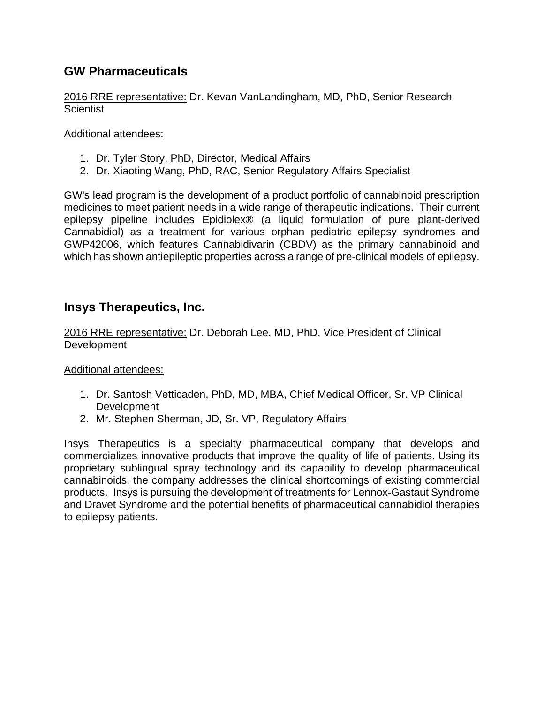## **GW Pharmaceuticals**

2016 RRE representative: Dr. Kevan VanLandingham, MD, PhD, Senior Research **Scientist** 

### Additional attendees:

- 1. Dr. Tyler Story, PhD, Director, Medical Affairs
- 2. Dr. Xiaoting Wang, PhD, RAC, Senior Regulatory Affairs Specialist

GW's lead program is the development of a product portfolio of cannabinoid prescription medicines to meet patient needs in a wide range of therapeutic indications. Their current epilepsy pipeline includes Epidiolex® (a liquid formulation of pure plant-derived Cannabidiol) as a treatment for various orphan pediatric epilepsy syndromes and GWP42006, which features Cannabidivarin (CBDV) as the primary cannabinoid and which has shown antiepileptic properties across a range of pre-clinical models of epilepsy.

## **Insys Therapeutics, Inc.**

2016 RRE representative: Dr. Deborah Lee, MD, PhD, Vice President of Clinical Development

### Additional attendees:

- 1. Dr. Santosh Vetticaden, PhD, MD, MBA, Chief Medical Officer, Sr. VP Clinical Development
- 2. Mr. Stephen Sherman, JD, Sr. VP, Regulatory Affairs

Insys Therapeutics is a specialty pharmaceutical company that develops and commercializes innovative products that improve the quality of life of patients. Using its proprietary sublingual spray technology and its capability to develop pharmaceutical cannabinoids, the company addresses the clinical shortcomings of existing commercial products. Insys is pursuing the development of treatments for Lennox-Gastaut Syndrome and Dravet Syndrome and the potential benefits of pharmaceutical cannabidiol therapies to epilepsy patients.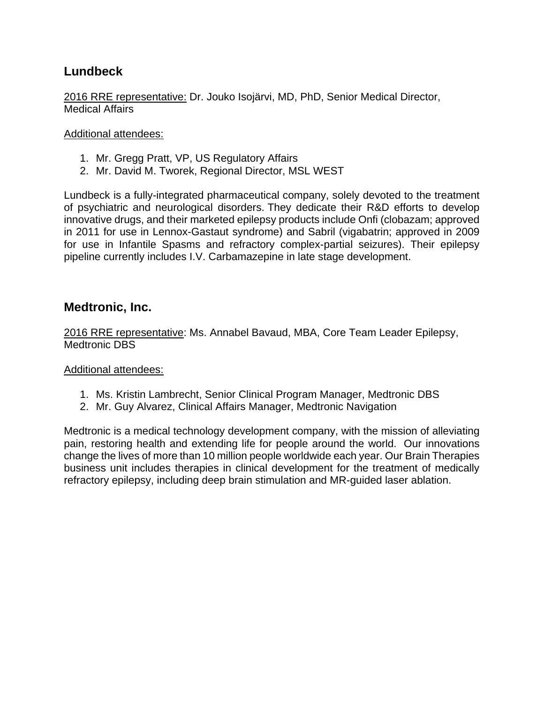## **Lundbeck**

2016 RRE representative: Dr. Jouko Isojärvi, MD, PhD, Senior Medical Director, Medical Affairs

#### Additional attendees:

- 1. Mr. Gregg Pratt, VP, US Regulatory Affairs
- 2. Mr. David M. Tworek, Regional Director, MSL WEST

Lundbeck is a fully-integrated pharmaceutical company, solely devoted to the treatment of psychiatric and neurological disorders. They dedicate their R&D efforts to develop innovative drugs, and their marketed epilepsy products include Onfi (clobazam; approved in 2011 for use in Lennox-Gastaut syndrome) and Sabril (vigabatrin; approved in 2009 for use in Infantile Spasms and refractory complex-partial seizures). Their epilepsy pipeline currently includes I.V. Carbamazepine in late stage development.

### **Medtronic, Inc.**

2016 RRE representative: Ms. Annabel Bavaud, MBA, Core Team Leader Epilepsy, Medtronic DBS

### Additional attendees:

- 1. Ms. Kristin Lambrecht, Senior Clinical Program Manager, Medtronic DBS
- 2. Mr. Guy Alvarez, Clinical Affairs Manager, Medtronic Navigation

Medtronic is a medical technology development company, with the mission of alleviating pain, restoring health and extending life for people around the world. Our innovations change the lives of more than 10 million people worldwide each year. Our Brain Therapies business unit includes therapies in clinical development for the treatment of medically refractory epilepsy, including deep brain stimulation and MR-guided laser ablation.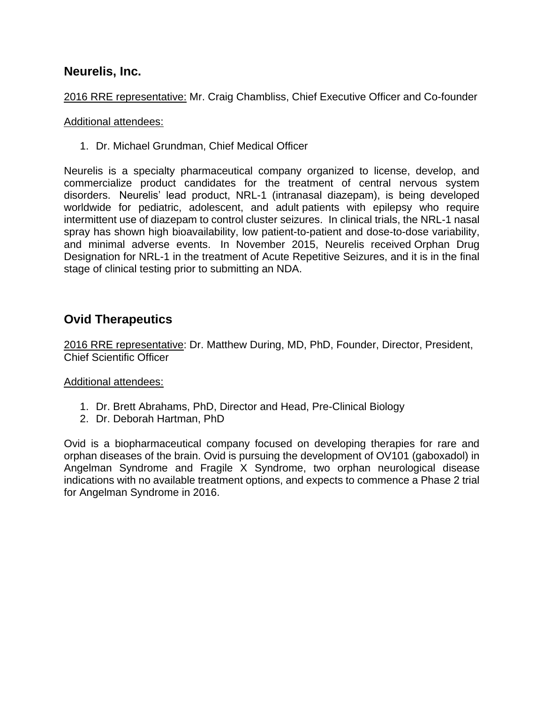### **Neurelis, Inc.**

2016 RRE representative: Mr. Craig Chambliss, Chief Executive Officer and Co-founder

#### Additional attendees:

1. Dr. Michael Grundman, Chief Medical Officer

Neurelis is a specialty pharmaceutical company organized to license, develop, and commercialize product candidates for the treatment of central nervous system disorders. Neurelis' lead product, NRL-1 (intranasal diazepam), is being developed worldwide for pediatric, adolescent, and adult patients with epilepsy who require intermittent use of diazepam to control cluster seizures. In clinical trials, the NRL-1 nasal spray has shown high bioavailability, low patient-to-patient and dose-to-dose variability, and minimal adverse events. In November 2015, Neurelis received Orphan Drug Designation for NRL-1 in the treatment of Acute Repetitive Seizures, and it is in the final stage of clinical testing prior to submitting an NDA.

## **Ovid Therapeutics**

2016 RRE representative: Dr. Matthew During, MD, PhD, Founder, Director, President, Chief Scientific Officer

### Additional attendees:

- 1. Dr. Brett Abrahams, PhD, Director and Head, Pre-Clinical Biology
- 2. Dr. Deborah Hartman, PhD

Ovid is a biopharmaceutical company focused on developing therapies for rare and orphan diseases of the brain. Ovid is pursuing the development of OV101 (gaboxadol) in Angelman Syndrome and Fragile X Syndrome, two orphan neurological disease indications with no available treatment options, and expects to commence a Phase 2 trial for Angelman Syndrome in 2016.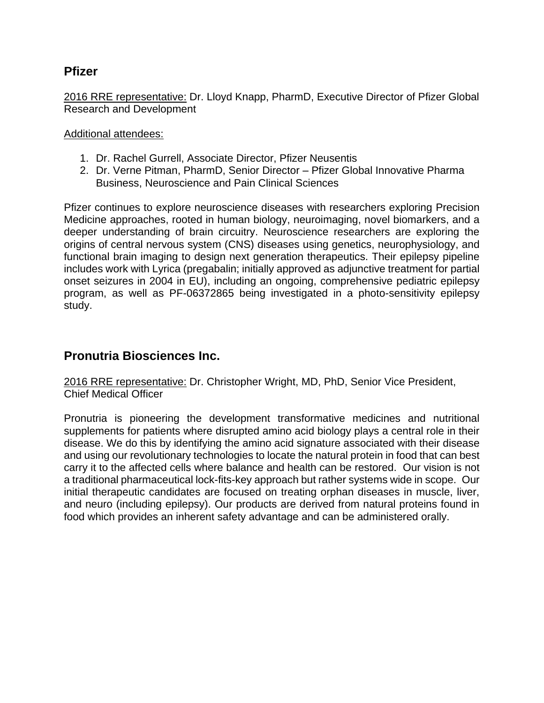### **Pfizer**

2016 RRE representative: Dr. Lloyd Knapp, PharmD, Executive Director of Pfizer Global Research and Development

#### Additional attendees:

- 1. Dr. Rachel Gurrell, Associate Director, Pfizer Neusentis
- 2. Dr. Verne Pitman, PharmD, Senior Director Pfizer Global Innovative Pharma Business, Neuroscience and Pain Clinical Sciences

Pfizer continues to explore neuroscience diseases with researchers exploring Precision Medicine approaches, rooted in human biology, neuroimaging, novel biomarkers, and a deeper understanding of brain circuitry. Neuroscience researchers are exploring the origins of central nervous system (CNS) diseases using genetics, neurophysiology, and functional brain imaging to design next generation therapeutics. Their epilepsy pipeline includes work with Lyrica (pregabalin; initially approved as adjunctive treatment for partial onset seizures in 2004 in EU), including an ongoing, comprehensive pediatric epilepsy program, as well as PF-06372865 being investigated in a photo-sensitivity epilepsy study.

## **Pronutria Biosciences Inc.**

2016 RRE representative: Dr. Christopher Wright, MD, PhD, Senior Vice President, Chief Medical Officer

Pronutria is pioneering the development transformative medicines and nutritional supplements for patients where disrupted amino acid biology plays a central role in their disease. We do this by identifying the amino acid signature associated with their disease and using our revolutionary technologies to locate the natural protein in food that can best carry it to the affected cells where balance and health can be restored. Our vision is not a traditional pharmaceutical lock-fits-key approach but rather systems wide in scope. Our initial therapeutic candidates are focused on treating orphan diseases in muscle, liver, and neuro (including epilepsy). Our products are derived from natural proteins found in food which provides an inherent safety advantage and can be administered orally.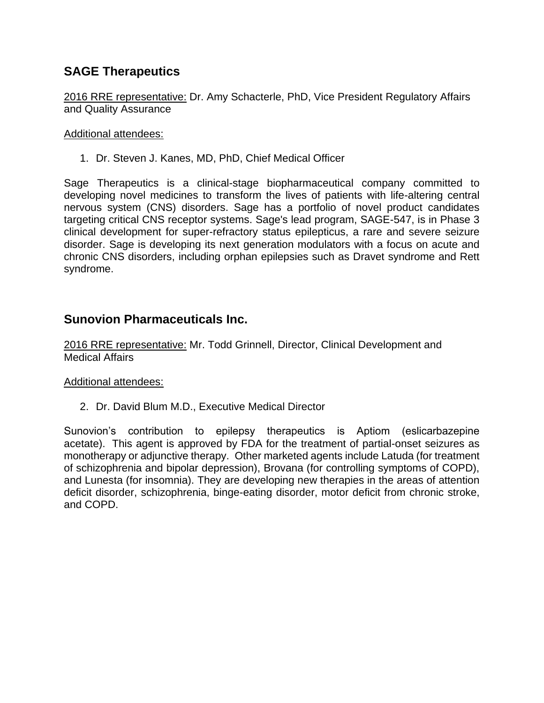## **SAGE Therapeutics**

2016 RRE representative: Dr. Amy Schacterle, PhD, Vice President Regulatory Affairs and Quality Assurance

#### Additional attendees:

1. Dr. Steven J. Kanes, MD, PhD, Chief Medical Officer

Sage Therapeutics is a clinical-stage biopharmaceutical company committed to developing novel medicines to transform the lives of patients with life-altering central nervous system (CNS) disorders. Sage has a portfolio of novel product candidates targeting critical CNS receptor systems. Sage's lead program, SAGE-547, is in Phase 3 clinical development for super-refractory status epilepticus, a rare and severe seizure disorder. Sage is developing its next generation modulators with a focus on acute and chronic CNS disorders, including orphan epilepsies such as Dravet syndrome and Rett syndrome.

## **Sunovion Pharmaceuticals Inc.**

2016 RRE representative: Mr. Todd Grinnell, Director, Clinical Development and Medical Affairs

#### Additional attendees:

2. Dr. David Blum M.D., Executive Medical Director

Sunovion's contribution to epilepsy therapeutics is Aptiom (eslicarbazepine acetate). This agent is approved by FDA for the treatment of partial-onset seizures as monotherapy or adjunctive therapy. Other marketed agents include Latuda (for treatment of schizophrenia and bipolar depression), Brovana (for controlling symptoms of COPD), and Lunesta (for insomnia). They are developing new therapies in the areas of attention deficit disorder, schizophrenia, binge-eating disorder, motor deficit from chronic stroke, and COPD.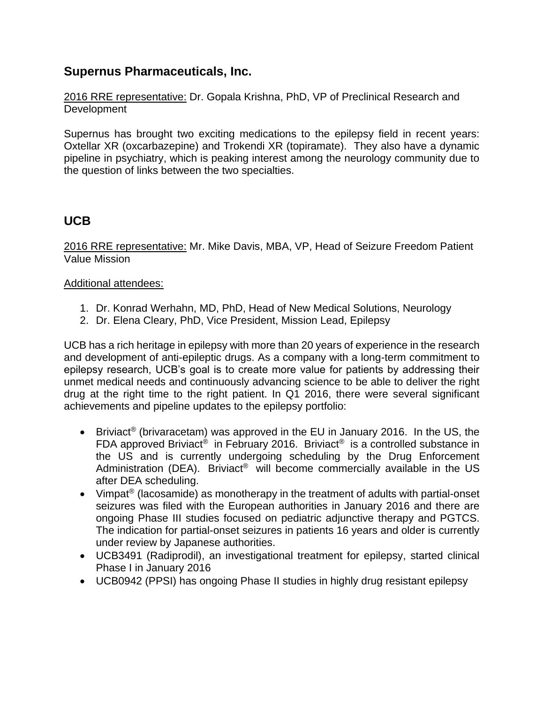## **Supernus Pharmaceuticals, Inc.**

2016 RRE representative: Dr. Gopala Krishna, PhD, VP of Preclinical Research and **Development** 

Supernus has brought two exciting medications to the epilepsy field in recent years: Oxtellar XR (oxcarbazepine) and Trokendi XR (topiramate). They also have a dynamic pipeline in psychiatry, which is peaking interest among the neurology community due to the question of links between the two specialties.

## **UCB**

2016 RRE representative: Mr. Mike Davis, MBA, VP, Head of Seizure Freedom Patient Value Mission

### Additional attendees:

- 1. Dr. Konrad Werhahn, MD, PhD, Head of New Medical Solutions, Neurology
- 2. Dr. Elena Cleary, PhD, Vice President, Mission Lead, Epilepsy

UCB has a rich heritage in epilepsy with more than 20 years of experience in the research and development of anti-epileptic drugs. As a company with a long-term commitment to epilepsy research, UCB's goal is to create more value for patients by addressing their unmet medical needs and continuously advancing science to be able to deliver the right drug at the right time to the right patient. In Q1 2016, there were several significant achievements and pipeline updates to the epilepsy portfolio:

- Briviact<sup>®</sup> (brivaracetam) was approved in the EU in January 2016. In the US, the FDA approved Briviact<sup>®</sup> in February 2016. Briviact<sup>®</sup> is a controlled substance in the US and is currently undergoing scheduling by the Drug Enforcement Administration (DEA). Briviact<sup>®</sup> will become commercially available in the US after DEA scheduling.
- Vimpat® (lacosamide) as monotherapy in the treatment of adults with partial-onset seizures was filed with the European authorities in January 2016 and there are ongoing Phase III studies focused on pediatric adjunctive therapy and PGTCS. The indication for partial-onset seizures in patients 16 years and older is currently under review by Japanese authorities.
- UCB3491 (Radiprodil), an investigational treatment for epilepsy, started clinical Phase I in January 2016
- UCB0942 (PPSI) has ongoing Phase II studies in highly drug resistant epilepsy